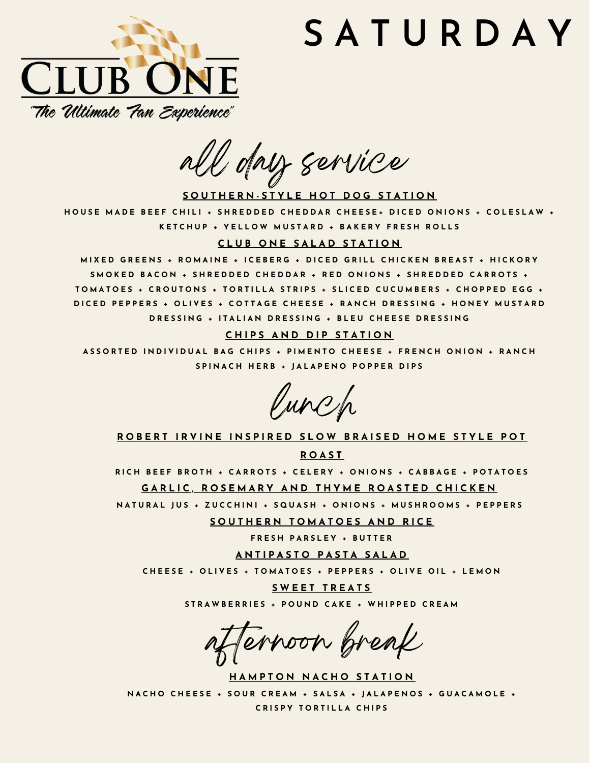# **S A T U R D A Y**



all day service

SOUTHERN-STYLE HOT DOG STATION

HOUSE MADE BEEF CHILI + SHREDDED CHEDDAR CHEESE+ DICED ONIONS + COLESLAW + KETCHUP + YELLOW MUSTARD + BAKERY FRESH ROLLS

# **C L U B O N E S A L A D S T A T I O N**

MIXED GREENS + ROMAINE + ICEBERG + DICED GRILL CHICKEN BREAST + HICKORY SMOKED BACON + SHREDDED CHEDDAR + RED ONIONS + SHREDDED CARROTS + TOMATOES + CROUTONS + TORTILLA STRIPS + SLICED CUCUMBERS + CHOPPED EGG + DICED PEPPERS + OLIVES + COTTAGE CHEESE + RANCH DRESSING + HONEY MUSTARD DRESSING + ITALIAN DRESSING + BLEU CHEESE DRESSING

# $CHIPS AND DIP STATION$

ASSORTED INDIVIDUAL BAG CHIPS + PIMENTO CHEESE + FRENCH ONION + RANCH SPINACH HERB + JALAPENO POPPER DIPS

lunch

ROBERT IRVINE INSPIRED SLOW BRAISED HOME STYLE POT

**R O A S T**

RICH BEEF BROTH + CARROTS + CELERY + ONIONS + CABBAGE + POTATOES

GARLIC, ROSEMARY AND THYME ROASTED CHICKEN

NATURAL JUS + ZUCCHINI + SQUASH + ONIONS + MUSHROOMS + PEPPERS

 $S$  **OUTHERN TOMATOES AND RICE** 

**F R E S H P A R S L E Y + B U T T E R**

**A N T I P A S T O P A S T A S A L A D**

CHEESE + OLIVES + TOMATOES + PEPPERS + OLIVE OIL + LEMON

**S W E E T T R E A T S** STRAWBERRIES + POUND CAKE + WHIPPED CREAM

Ternoon break

**HAMPTON NACHO STATION** NACHO CHEESE + SOUR CREAM + SALSA + JALAPENOS + GUACAMOLE + **C R I S P Y T O R T I L L A C H I P S**